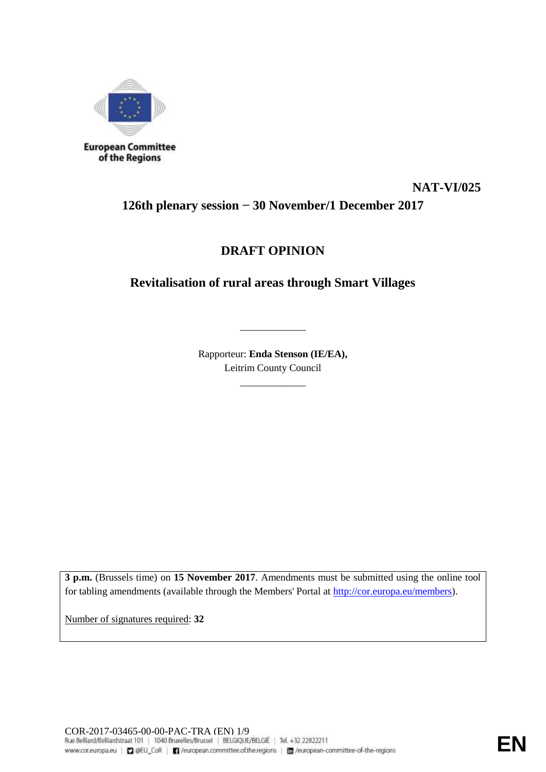

of the Regions

# **NAT-VI/025 126th plenary session − 30 November/1 December 2017**

## **DRAFT OPINION**

## **Revitalisation of rural areas through Smart Villages**

Rapporteur: **Enda Stenson (IE/EA),**  Leitrim County Council

\_\_\_\_\_\_\_\_\_\_\_\_\_

\_\_\_\_\_\_\_\_\_\_\_\_\_

**3 p.m.** (Brussels time) on **15 November 2017**. Amendments must be submitted using the online tool for tabling amendments (available through the Members' Portal at [http://cor.europa.eu/members\)](http://cor.europa.eu/members).

Number of signatures required: **32**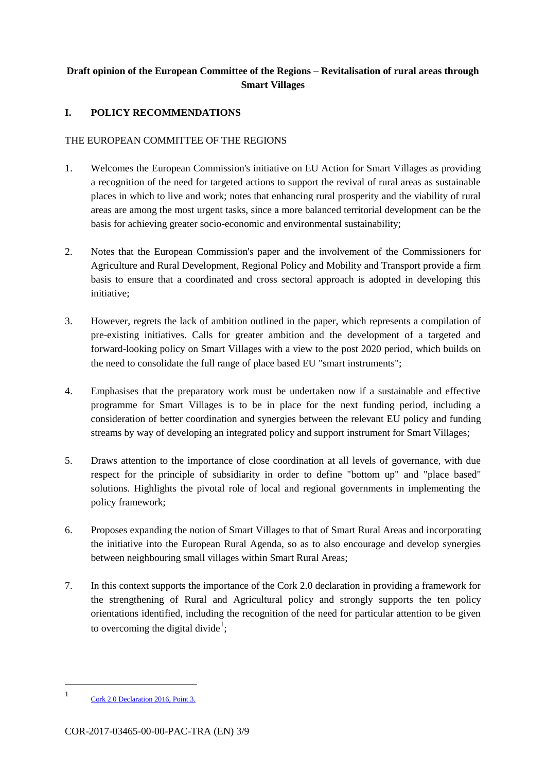## **Draft opinion of the European Committee of the Regions – Revitalisation of rural areas through Smart Villages**

### **I. POLICY RECOMMENDATIONS**

#### THE EUROPEAN COMMITTEE OF THE REGIONS

- 1. Welcomes the European Commission's initiative on EU Action for Smart Villages as providing a recognition of the need for targeted actions to support the revival of rural areas as sustainable places in which to live and work; notes that enhancing rural prosperity and the viability of rural areas are among the most urgent tasks, since a more balanced territorial development can be the basis for achieving greater socio-economic and environmental sustainability;
- 2. Notes that the European Commission's paper and the involvement of the Commissioners for Agriculture and Rural Development, Regional Policy and Mobility and Transport provide a firm basis to ensure that a coordinated and cross sectoral approach is adopted in developing this initiative;
- 3. However, regrets the lack of ambition outlined in the paper, which represents a compilation of pre-existing initiatives. Calls for greater ambition and the development of a targeted and forward-looking policy on Smart Villages with a view to the post 2020 period, which builds on the need to consolidate the full range of place based EU "smart instruments";
- 4. Emphasises that the preparatory work must be undertaken now if a sustainable and effective programme for Smart Villages is to be in place for the next funding period, including a consideration of better coordination and synergies between the relevant EU policy and funding streams by way of developing an integrated policy and support instrument for Smart Villages;
- 5. Draws attention to the importance of close coordination at all levels of governance, with due respect for the principle of subsidiarity in order to define "bottom up" and "place based" solutions. Highlights the pivotal role of local and regional governments in implementing the policy framework;
- 6. Proposes expanding the notion of Smart Villages to that of Smart Rural Areas and incorporating the initiative into the European Rural Agenda, so as to also encourage and develop synergies between neighbouring small villages within Smart Rural Areas;
- 7. In this context supports the importance of the Cork 2.0 declaration in providing a framework for the strengthening of Rural and Agricultural policy and strongly supports the ten policy orientations identified, including the recognition of the need for particular attention to be given to overcoming the digital divide<sup>1</sup>;

-

<sup>1</sup> [Cork 2.0 Declaration 2016, Point 3.](https://ec.europa.eu/agriculture/events/rural-development-2016_en)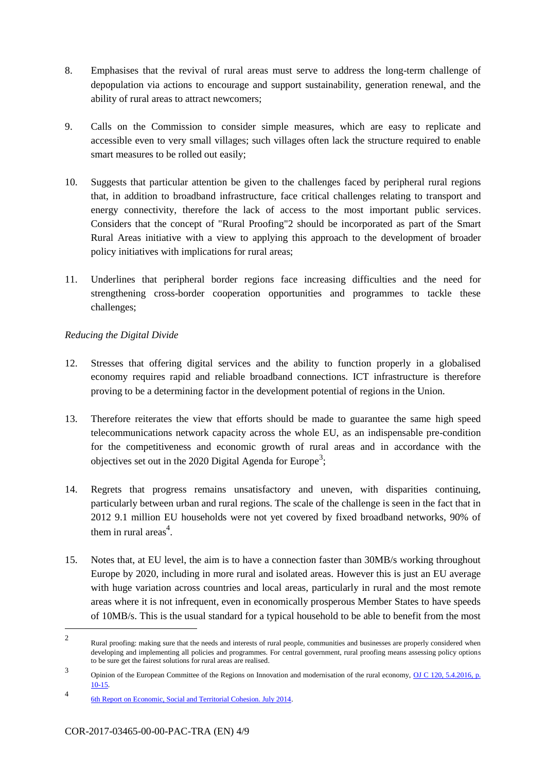- 8. Emphasises that the revival of rural areas must serve to address the long-term challenge of depopulation via actions to encourage and support sustainability, generation renewal, and the ability of rural areas to attract newcomers;
- 9. Calls on the Commission to consider simple measures, which are easy to replicate and accessible even to very small villages; such villages often lack the structure required to enable smart measures to be rolled out easily;
- 10. Suggests that particular attention be given to the challenges faced by peripheral rural regions that, in addition to broadband infrastructure, face critical challenges relating to transport and energy connectivity, therefore the lack of access to the most important public services. Considers that the concept of "Rural Proofing"2 should be incorporated as part of the Smart Rural Areas initiative with a view to applying this approach to the development of broader policy initiatives with implications for rural areas;
- 11. Underlines that peripheral border regions face increasing difficulties and the need for strengthening cross-border cooperation opportunities and programmes to tackle these challenges;

### *Reducing the Digital Divide*

- 12. Stresses that offering digital services and the ability to function properly in a globalised economy requires rapid and reliable broadband connections. ICT infrastructure is therefore proving to be a determining factor in the development potential of regions in the Union.
- 13. Therefore reiterates the view that efforts should be made to guarantee the same high speed telecommunications network capacity across the whole EU, as an indispensable pre-condition for the competitiveness and economic growth of rural areas and in accordance with the objectives set out in the 2020 Digital Agenda for Europe<sup>3</sup>;
- 14. Regrets that progress remains unsatisfactory and uneven, with disparities continuing, particularly between urban and rural regions. The scale of the challenge is seen in the fact that in 2012 9.1 million EU households were not yet covered by fixed broadband networks, 90% of them in rural areas $4$ .
- 15. Notes that, at EU level, the aim is to have a connection faster than 30MB/s working throughout Europe by 2020, including in more rural and isolated areas. However this is just an EU average with huge variation across countries and local areas, particularly in rural and the most remote areas where it is not infrequent, even in economically prosperous Member States to have speeds of 10MB/s. This is the usual standard for a typical household to be able to benefit from the most

-

<sup>2</sup> Rural proofing: making sure that the needs and interests of rural people, communities and businesses are properly considered when developing and implementing all policies and programmes. For central government, rural proofing means assessing policy options to be sure get the fairest solutions for rural areas are realised.

<sup>3</sup> Opinion of the European Committee of the Regions on Innovation and modernisation of the rural economy, OJ C 120, 5.4.2016, p. [10-15.](http://eur-lex.europa.eu/legal-content/EN/TXT/?qid=1503995270075&uri=CELEX:52015IR2799)

<sup>4</sup> [6th Report on Economic, Social and Territorial Cohesion. July 2014.](http://ec.europa.eu/regional_policy/en/information/publications/reports/2014/6th-report-on-economic-social-and-territorial-cohesion)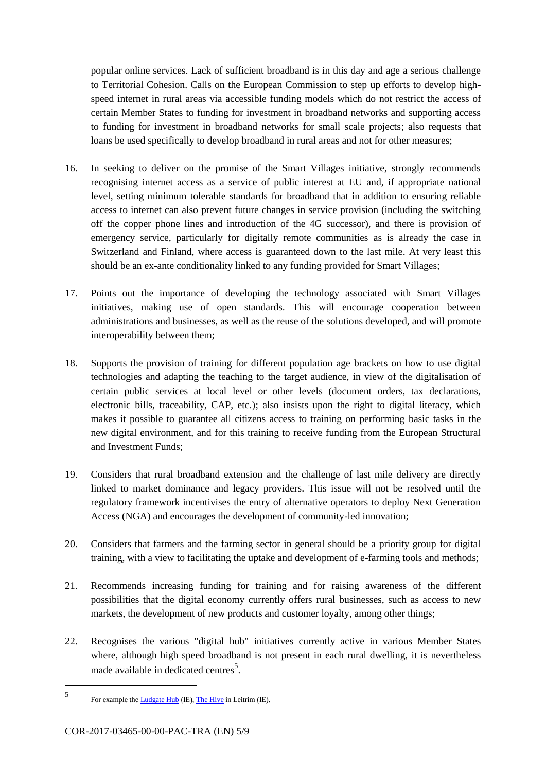popular online services. Lack of sufficient broadband is in this day and age a serious challenge to Territorial Cohesion. Calls on the European Commission to step up efforts to develop highspeed internet in rural areas via accessible funding models which do not restrict the access of certain Member States to funding for investment in broadband networks and supporting access to funding for investment in broadband networks for small scale projects; also requests that loans be used specifically to develop broadband in rural areas and not for other measures;

- 16. In seeking to deliver on the promise of the Smart Villages initiative, strongly recommends recognising internet access as a service of public interest at EU and, if appropriate national level, setting minimum tolerable standards for broadband that in addition to ensuring reliable access to internet can also prevent future changes in service provision (including the switching off the copper phone lines and introduction of the 4G successor), and there is provision of emergency service, particularly for digitally remote communities as is already the case in Switzerland and Finland, where access is guaranteed down to the last mile. At very least this should be an ex-ante conditionality linked to any funding provided for Smart Villages;
- 17. Points out the importance of developing the technology associated with Smart Villages initiatives, making use of open standards. This will encourage cooperation between administrations and businesses, as well as the reuse of the solutions developed, and will promote interoperability between them;
- 18. Supports the provision of training for different population age brackets on how to use digital technologies and adapting the teaching to the target audience, in view of the digitalisation of certain public services at local level or other levels (document orders, tax declarations, electronic bills, traceability, CAP, etc.); also insists upon the right to digital literacy, which makes it possible to guarantee all citizens access to training on performing basic tasks in the new digital environment, and for this training to receive funding from the European Structural and Investment Funds;
- 19. Considers that rural broadband extension and the challenge of last mile delivery are directly linked to market dominance and legacy providers. This issue will not be resolved until the regulatory framework incentivises the entry of alternative operators to deploy Next Generation Access (NGA) and encourages the development of community-led innovation;
- 20. Considers that farmers and the farming sector in general should be a priority group for digital training, with a view to facilitating the uptake and development of e-farming tools and methods;
- 21. Recommends increasing funding for training and for raising awareness of the different possibilities that the digital economy currently offers rural businesses, such as access to new markets, the development of new products and customer loyalty, among other things;
- 22. Recognises the various "digital hub" initiatives currently active in various Member States where, although high speed broadband is not present in each rural dwelling, it is nevertheless made available in dedicated centres<sup>5</sup>.

1

<sup>5</sup> For example the **Ludgate Hub** (IE), [The Hive](http://www.the-hive.ie/) in Leitrim (IE).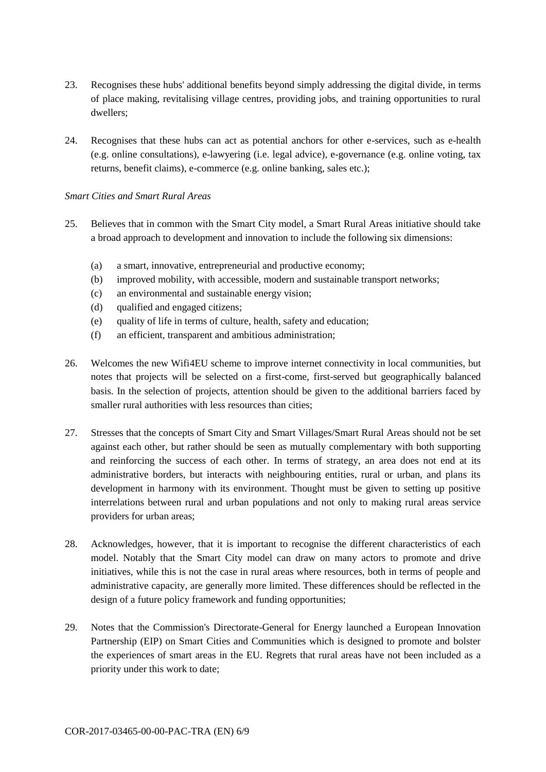- 23. Recognises these hubs' additional benefits beyond simply addressing the digital divide, in terms of place making, revitalising village centres, providing jobs, and training opportunities to rural dwellers;
- 24. Recognises that these hubs can act as potential anchors for other e-services, such as e-health (e.g. online consultations), e-lawyering (i.e. legal advice), e-governance (e.g. online voting, tax returns, benefit claims), e-commerce (e.g. online banking, sales etc.);

#### *Smart Cities and Smart Rural Areas*

- 25. Believes that in common with the Smart City model, a Smart Rural Areas initiative should take a broad approach to development and innovation to include the following six dimensions:
	- (a) a smart, innovative, entrepreneurial and productive economy;
	- (b) improved mobility, with accessible, modern and sustainable transport networks;
	- (c) an environmental and sustainable energy vision;
	- (d) qualified and engaged citizens;
	- (e) quality of life in terms of culture, health, safety and education;
	- (f) an efficient, transparent and ambitious administration;
- 26. Welcomes the new Wifi4EU scheme to improve internet connectivity in local communities, but notes that projects will be selected on a first-come, first-served but geographically balanced basis. In the selection of projects, attention should be given to the additional barriers faced by smaller rural authorities with less resources than cities;
- 27. Stresses that the concepts of Smart City and Smart Villages/Smart Rural Areas should not be set against each other, but rather should be seen as mutually complementary with both supporting and reinforcing the success of each other. In terms of strategy, an area does not end at its administrative borders, but interacts with neighbouring entities, rural or urban, and plans its development in harmony with its environment. Thought must be given to setting up positive interrelations between rural and urban populations and not only to making rural areas service providers for urban areas;
- 28. Acknowledges, however, that it is important to recognise the different characteristics of each model. Notably that the Smart City model can draw on many actors to promote and drive initiatives, while this is not the case in rural areas where resources, both in terms of people and administrative capacity, are generally more limited. These differences should be reflected in the design of a future policy framework and funding opportunities;
- 29. Notes that the Commission's Directorate-General for Energy launched a European Innovation Partnership (EIP) on Smart Cities and Communities which is designed to promote and bolster the experiences of smart areas in the EU. Regrets that rural areas have not been included as a priority under this work to date;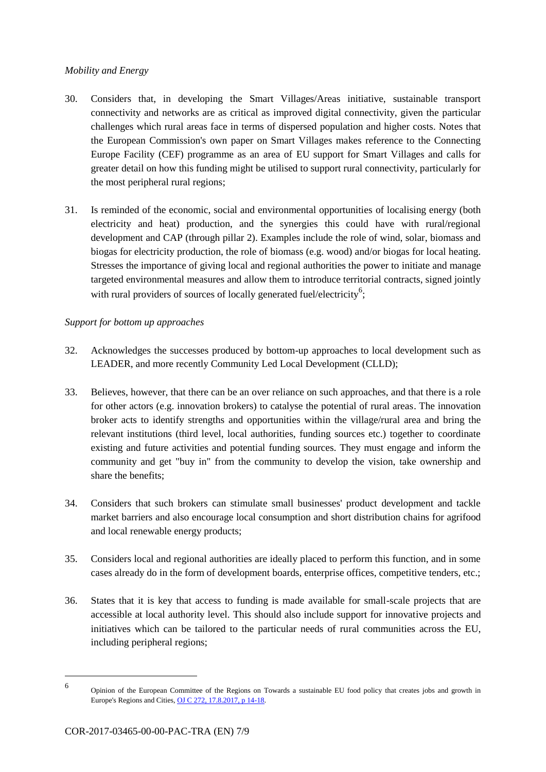#### *Mobility and Energy*

- 30. Considers that, in developing the Smart Villages/Areas initiative, sustainable transport connectivity and networks are as critical as improved digital connectivity, given the particular challenges which rural areas face in terms of dispersed population and higher costs. Notes that the European Commission's own paper on Smart Villages makes reference to the Connecting Europe Facility (CEF) programme as an area of EU support for Smart Villages and calls for greater detail on how this funding might be utilised to support rural connectivity, particularly for the most peripheral rural regions;
- 31. Is reminded of the economic, social and environmental opportunities of localising energy (both electricity and heat) production, and the synergies this could have with rural/regional development and CAP (through pillar 2). Examples include the role of wind, solar, biomass and biogas for electricity production, the role of biomass (e.g. wood) and/or biogas for local heating. Stresses the importance of giving local and regional authorities the power to initiate and manage targeted environmental measures and allow them to introduce territorial contracts, signed jointly with rural providers of sources of locally generated fuel/electricity<sup>6</sup>;

### *Support for bottom up approaches*

- 32. Acknowledges the successes produced by bottom-up approaches to local development such as LEADER, and more recently Community Led Local Development (CLLD);
- 33. Believes, however, that there can be an over reliance on such approaches, and that there is a role for other actors (e.g. innovation brokers) to catalyse the potential of rural areas. The innovation broker acts to identify strengths and opportunities within the village/rural area and bring the relevant institutions (third level, local authorities, funding sources etc.) together to coordinate existing and future activities and potential funding sources. They must engage and inform the community and get "buy in" from the community to develop the vision, take ownership and share the benefits;
- 34. Considers that such brokers can stimulate small businesses' product development and tackle market barriers and also encourage local consumption and short distribution chains for agrifood and local renewable energy products;
- 35. Considers local and regional authorities are ideally placed to perform this function, and in some cases already do in the form of development boards, enterprise offices, competitive tenders, etc.;
- 36. States that it is key that access to funding is made available for small-scale projects that are accessible at local authority level. This should also include support for innovative projects and initiatives which can be tailored to the particular needs of rural communities across the EU, including peripheral regions;

1

<sup>6</sup> Opinion of the European Committee of the Regions on Towards a sustainable EU food policy that creates jobs and growth in Europe's Regions and Cities[, OJ C 272, 17.8.2017, p 14-18.](http://eur-lex.europa.eu/legal-content/EN/TXT/HTML/?uri=CELEX:52016IR3170&qid=1503994083921&from=EN)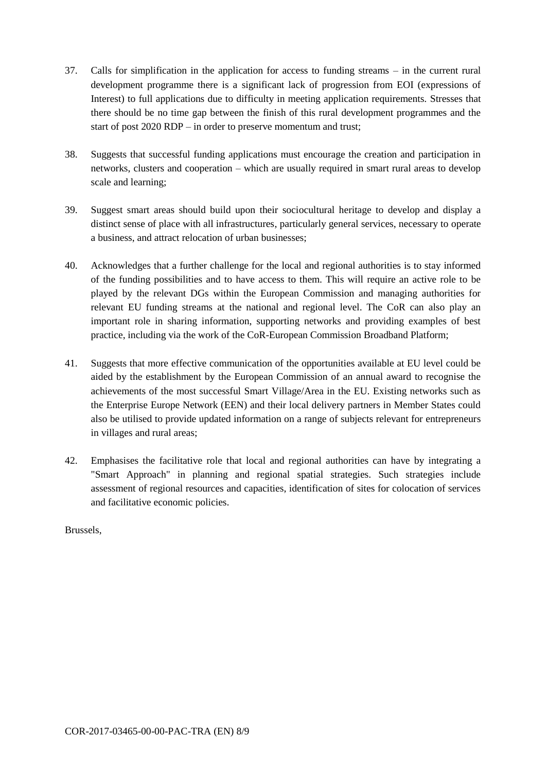- 37. Calls for simplification in the application for access to funding streams in the current rural development programme there is a significant lack of progression from EOI (expressions of Interest) to full applications due to difficulty in meeting application requirements. Stresses that there should be no time gap between the finish of this rural development programmes and the start of post 2020 RDP – in order to preserve momentum and trust;
- 38. Suggests that successful funding applications must encourage the creation and participation in networks, clusters and cooperation – which are usually required in smart rural areas to develop scale and learning;
- 39. Suggest smart areas should build upon their sociocultural heritage to develop and display a distinct sense of place with all infrastructures, particularly general services, necessary to operate a business, and attract relocation of urban businesses;
- 40. Acknowledges that a further challenge for the local and regional authorities is to stay informed of the funding possibilities and to have access to them. This will require an active role to be played by the relevant DGs within the European Commission and managing authorities for relevant EU funding streams at the national and regional level. The CoR can also play an important role in sharing information, supporting networks and providing examples of best practice, including via the work of the CoR-European Commission Broadband Platform;
- 41. Suggests that more effective communication of the opportunities available at EU level could be aided by the establishment by the European Commission of an annual award to recognise the achievements of the most successful Smart Village/Area in the EU. Existing networks such as the Enterprise Europe Network (EEN) and their local delivery partners in Member States could also be utilised to provide updated information on a range of subjects relevant for entrepreneurs in villages and rural areas;
- 42. Emphasises the facilitative role that local and regional authorities can have by integrating a "Smart Approach" in planning and regional spatial strategies. Such strategies include assessment of regional resources and capacities, identification of sites for colocation of services and facilitative economic policies.

Brussels,